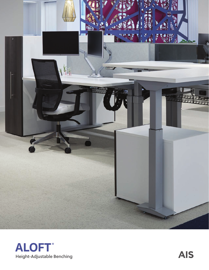